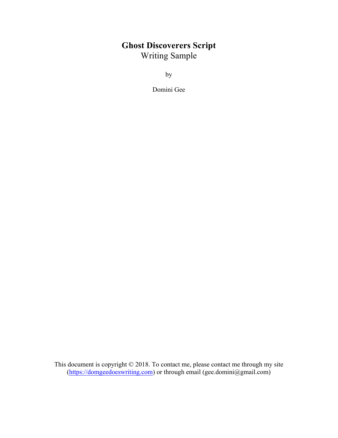# **Ghost Discoverers Script** Writing Sample

by

Domini Gee

This document is copyright © 2018. To contact me, please contact me through my site (https://domgeedoeswriting.com) or through email (gee.domini@gmail.com)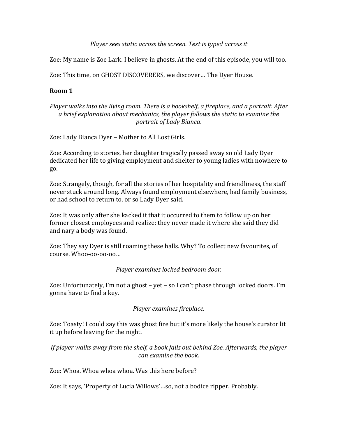*Player sees static across the screen. Text is typed across it* 

Zoe: My name is Zoe Lark. I believe in ghosts. At the end of this episode, you will too.

Zoe: This time, on GHOST DISCOVERERS, we discover... The Dyer House.

### **Room 1**

#### *Player* walks into the living room. There is a bookshelf, a fireplace, and a portrait. After a brief explanation about mechanics, the player follows the static to examine the *portrait of Lady Bianca*.

Zoe: Lady Bianca Dyer - Mother to All Lost Girls.

Zoe: According to stories, her daughter tragically passed away so old Lady Dyer dedicated her life to giving employment and shelter to young ladies with nowhere to go. 

Zoe: Strangely, though, for all the stories of her hospitality and friendliness, the staff never stuck around long. Always found employment elsewhere, had family business, or had school to return to, or so Lady Dyer said.

Zoe: It was only after she kacked it that it occurred to them to follow up on her former closest employees and realize: they never made it where she said they did and nary a body was found.

Zoe: They say Dyer is still roaming these halls. Why? To collect new favourites, of  $course.$ Whoo-oo-oo-oo...

*Player examines locked bedroom door.*

Zoe: Unfortunately, I'm not a ghost – yet – so I can't phase through locked doors. I'm gonna have to find a key.

# *Player examines fireplace.*

Zoe: Toasty! I could say this was ghost fire but it's more likely the house's curator lit it up before leaving for the night.

*If* player walks away from the shelf, a book falls out behind Zoe. Afterwards, the player *can examine the book.*

Zoe: Whoa. Whoa whoa whoa. Was this here before?

Zoe: It says, 'Property of Lucia Willows'...so, not a bodice ripper. Probably.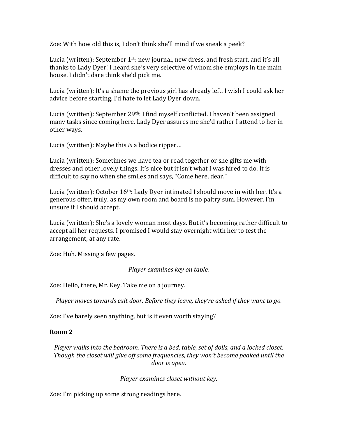Zoe: With how old this is, I don't think she'll mind if we sneak a peek?

Lucia (written): September  $1^{st}$ : new journal, new dress, and fresh start, and it's all thanks to Lady Dyer! I heard she's very selective of whom she employs in the main house. I didn't dare think she'd pick me.

Lucia (written): It's a shame the previous girl has already left. I wish I could ask her advice before starting. I'd hate to let Lady Dyer down.

Lucia (written): September  $29<sup>th</sup>$ : I find myself conflicted. I haven't been assigned many tasks since coming here. Lady Dyer assures me she'd rather I attend to her in other ways.

Lucia (written): Maybe this *is* a bodice ripper...

Lucia (written): Sometimes we have tea or read together or she gifts me with dresses and other lovely things. It's nice but it isn't what I was hired to do. It is difficult to say no when she smiles and says, "Come here, dear."

Lucia (written): October  $16<sup>th</sup>$ : Lady Dyer intimated I should move in with her. It's a generous offer, truly, as my own room and board is no paltry sum. However, I'm unsure if I should accept.

Lucia (written): She's a lovely woman most days. But it's becoming rather difficult to accept all her requests. I promised I would stay overnight with her to test the arrangement, at any rate.

Zoe: Huh. Missing a few pages.

*Player examines key on table.* 

Zoe: Hello, there, Mr. Key. Take me on a journey.

*Player moves towards exit door. Before they leave, they're asked if they want to go.* 

Zoe: I've barely seen anything, but is it even worth staying?

#### **Room 2**

*Player* walks into the bedroom. There is a bed, table, set of dolls, and a locked closet. *Though the closet will give off some frequencies, they won't become peaked until the* door is open.

*Player examines closet without key.* 

Zoe: I'm picking up some strong readings here.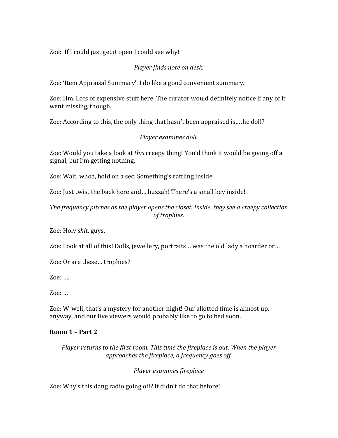Zoe: If I could just get it open I could see why!

*Player finds note on desk.* 

Zoe: 'Item Appraisal Summary'. I do like a good convenient summary.

Zoe: Hm. Lots of expensive stuff here. The curator would definitely notice if any of it went missing, though.

Zoe: According to this, the only thing that hasn't been appraised is...the doll?

#### *Player examines doll.*

Zoe: Would you take a look at *this* creepy thing! You'd think it would be giving off a signal, but I'm getting nothing.

Zoe: Wait, whoa, hold on a sec. Something's rattling inside.

Zoe: Just twist the back here and... huzzah! There's a small key inside!

The frequency pitches as the player opens the closet. Inside, they see a creepy collection  $of$  *trophies.* 

Zoe: Holy *shit*, guys.

Zoe: Look at all of this! Dolls, jewellery, portraits... was the old lady a hoarder or...

Zoe: Or are these... trophies?

Zoe: ....

 $Zoe: \dots$ 

Zoe: W-well, that's a mystery for another night! Our allotted time is almost up, anyway, and our live viewers would probably like to go to bed soon.

# **Room 1 – Part 2**

*Player returns to the first room. This time the fireplace is out. When the player* approaches the fireplace, a frequency goes off.

*Player examines fireplace*

Zoe: Why's this dang radio going off? It didn't do that before!